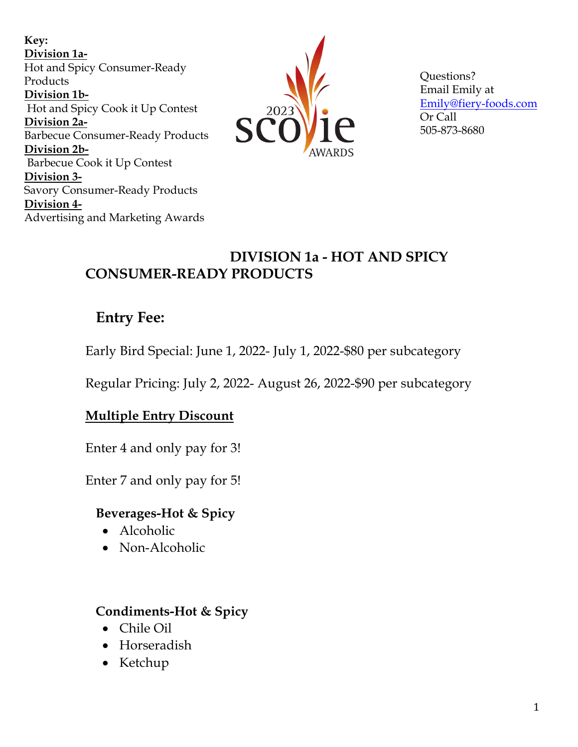**Key: Division 1a-**Hot and Spicy Consumer-Ready Products **Division 1b-**Hot and Spicy Cook it Up Contest **Division 2a-**Barbecue Consumer-Ready Products **Division 2b-**Barbecue Cook it Up Contest **Division 3-** Savory Consumer-Ready Products **Division 4-** Advertising and Marketing Awards



Questions? Email Emily at Emily@fiery-foods.com Or Call 505-873-8680

### **DIVISION 1a - HOT AND SPICY CONSUMER-READY PRODUCTS**

# **Entry Fee:**

Early Bird Special: June 1, 2022- July 1, 2022-\$80 per subcategory

Regular Pricing: July 2, 2022- August 26, 2022-\$90 per subcategory

### **Multiple Entry Discount**

Enter 4 and only pay for 3!

Enter 7 and only pay for 5!

### **Beverages-Hot & Spicy**

- Alcoholic
- Non-Alcoholic

### **Condiments-Hot & Spicy**

- Chile Oil
- Horseradish
- Ketchup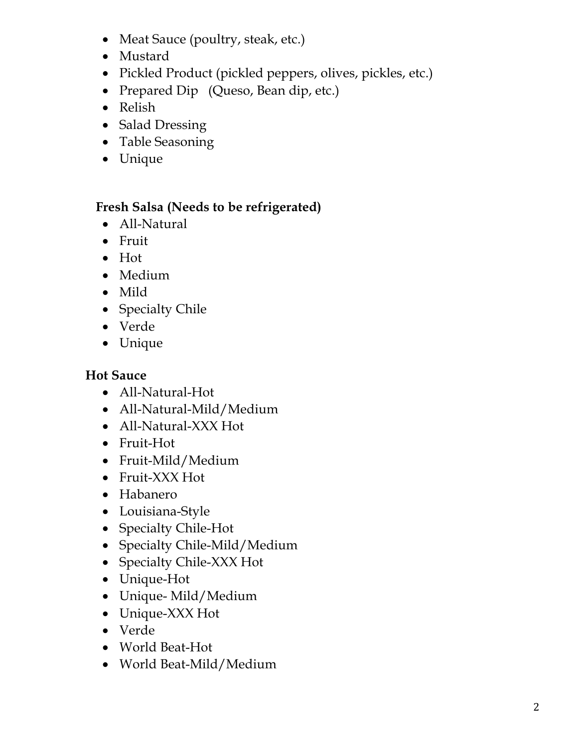- Meat Sauce (poultry, steak, etc.)
- Mustard
- Pickled Product (pickled peppers, olives, pickles, etc.)
- Prepared Dip (Queso, Bean dip, etc.)
- Relish
- Salad Dressing
- Table Seasoning
- Unique

#### **Fresh Salsa (Needs to be refrigerated)**

- All-Natural
- Fruit
- Hot
- Medium
- Mild
- Specialty Chile
- Verde
- Unique

### **Hot Sauce**

- All-Natural-Hot
- All-Natural-Mild/Medium
- All-Natural-XXX Hot
- Fruit-Hot
- Fruit-Mild/Medium
- Fruit-XXX Hot
- Habanero
- Louisiana-Style
- Specialty Chile-Hot
- Specialty Chile-Mild/Medium
- Specialty Chile-XXX Hot
- Unique-Hot
- Unique- Mild/Medium
- Unique-XXX Hot
- Verde
- World Beat-Hot
- World Beat-Mild/Medium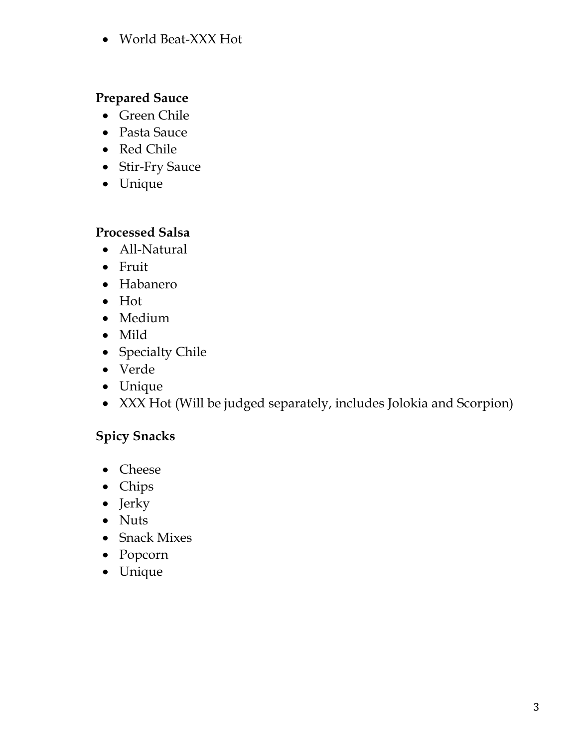• World Beat-XXX Hot

### **Prepared Sauce**

- Green Chile
- Pasta Sauce
- Red Chile
- Stir-Fry Sauce
- Unique

### **Processed Salsa**

- All-Natural
- Fruit
- Habanero
- Hot
- Medium
- Mild
- Specialty Chile
- Verde
- Unique
- XXX Hot (Will be judged separately, includes Jolokia and Scorpion)

### **Spicy Snacks**

- Cheese
- Chips
- Jerky
- Nuts
- Snack Mixes
- Popcorn
- Unique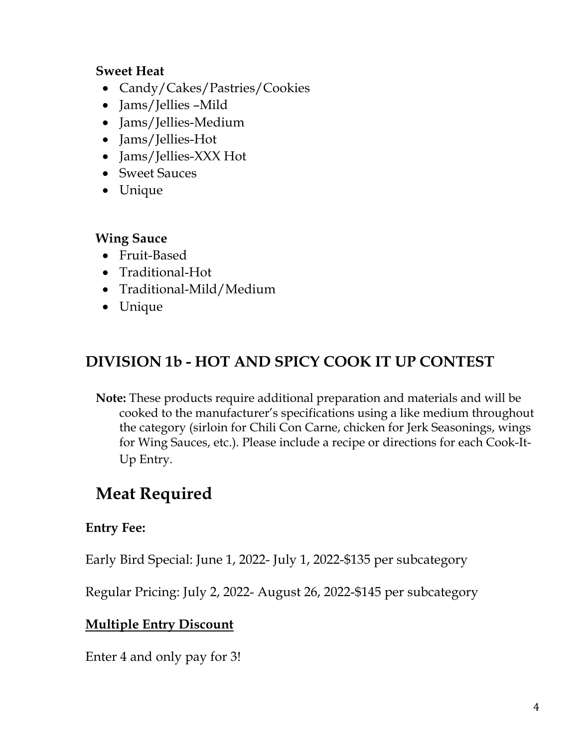### **Sweet Heat**

- Candy/Cakes/Pastries/Cookies
- Jams/Jellies –Mild
- Jams/Jellies-Medium
- Jams/Jellies-Hot
- Jams/Jellies-XXX Hot
- Sweet Sauces
- Unique

#### **Wing Sauce**

- Fruit-Based
- Traditional-Hot
- Traditional-Mild/Medium
- Unique

# **DIVISION 1b - HOT AND SPICY COOK IT UP CONTEST**

**Note:** These products require additional preparation and materials and will be cooked to the manufacturer's specifications using a like medium throughout the category (sirloin for Chili Con Carne, chicken for Jerk Seasonings, wings for Wing Sauces, etc.). Please include a recipe or directions for each Cook-It-Up Entry.

# **Meat Required**

### **Entry Fee:**

Early Bird Special: June 1, 2022- July 1, 2022-\$135 per subcategory

Regular Pricing: July 2, 2022- August 26, 2022-\$145 per subcategory

### **Multiple Entry Discount**

Enter 4 and only pay for 3!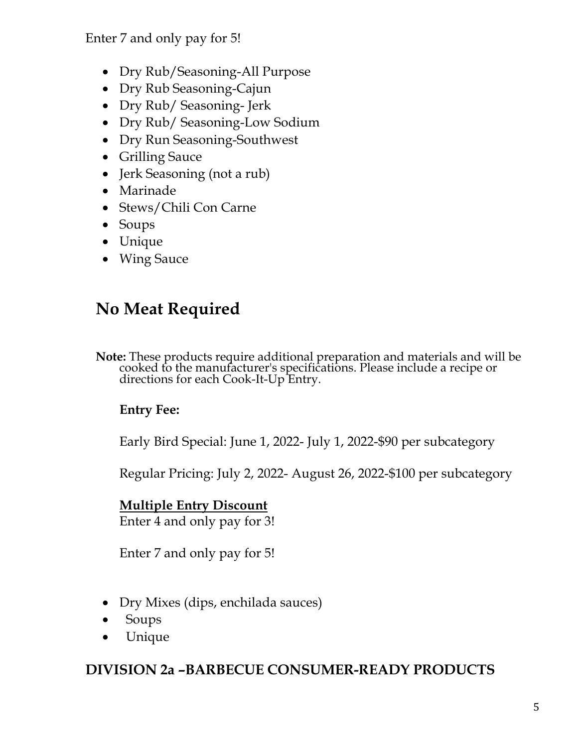Enter 7 and only pay for 5!

- Dry Rub/Seasoning-All Purpose
- Dry Rub Seasoning-Cajun
- Dry Rub/ Seasoning- Jerk
- Dry Rub/ Seasoning-Low Sodium
- Dry Run Seasoning-Southwest
- Grilling Sauce
- Jerk Seasoning (not a rub)
- Marinade
- Stews/Chili Con Carne
- Soups
- Unique
- Wing Sauce

# **No Meat Required**

**Note:** These products require additional preparation and materials and will be cooked to the manufacturer's specifications. Please include a recipe or directions for each Cook-It-Up Entry.

### **Entry Fee:**

Early Bird Special: June 1, 2022- July 1, 2022-\$90 per subcategory

Regular Pricing: July 2, 2022- August 26, 2022-\$100 per subcategory

### **Multiple Entry Discount**

Enter 4 and only pay for 3!

Enter 7 and only pay for 5!

- Dry Mixes (dips, enchilada sauces)
- Soups
- Unique

### **DIVISION 2a –BARBECUE CONSUMER-READY PRODUCTS**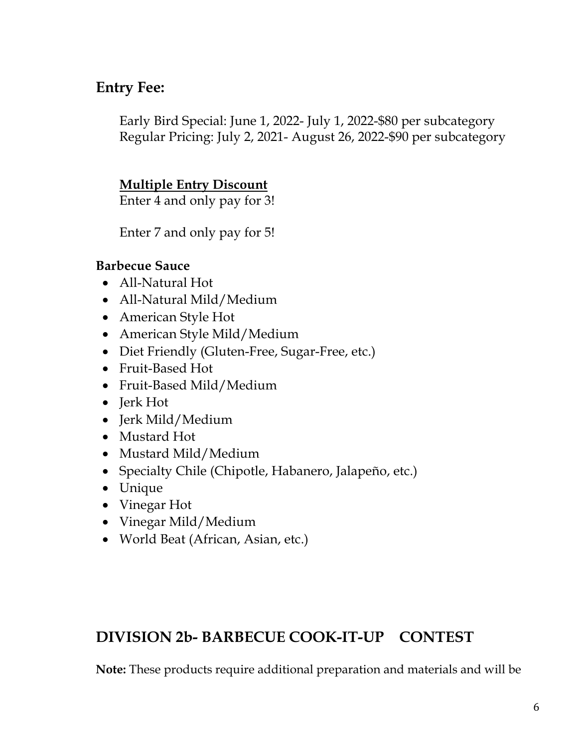## **Entry Fee:**

Early Bird Special: June 1, 2022- July 1, 2022-\$80 per subcategory Regular Pricing: July 2, 2021- August 26, 2022-\$90 per subcategory

### **Multiple Entry Discount**

Enter 4 and only pay for 3!

Enter 7 and only pay for 5!

#### **Barbecue Sauce**

- All-Natural Hot
- All-Natural Mild/Medium
- American Style Hot
- American Style Mild/Medium
- Diet Friendly (Gluten-Free, Sugar-Free, etc.)
- Fruit-Based Hot
- Fruit-Based Mild/Medium
- Jerk Hot
- Jerk Mild/Medium
- Mustard Hot
- Mustard Mild/Medium
- Specialty Chile (Chipotle, Habanero, Jalapeño, etc.)
- Unique
- Vinegar Hot
- Vinegar Mild/Medium
- World Beat (African, Asian, etc.)

### **DIVISION 2b- BARBECUE COOK-IT-UP CONTEST**

**Note:** These products require additional preparation and materials and will be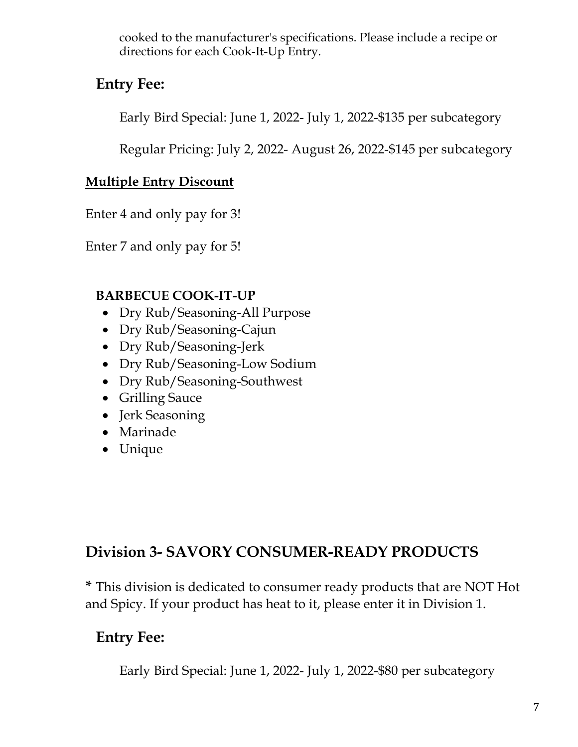cooked to the manufacturer's specifications. Please include a recipe or directions for each Cook-It-Up Entry.

# **Entry Fee:**

Early Bird Special: June 1, 2022- July 1, 2022-\$135 per subcategory

Regular Pricing: July 2, 2022- August 26, 2022-\$145 per subcategory

### **Multiple Entry Discount**

Enter 4 and only pay for 3!

Enter 7 and only pay for 5!

### **BARBECUE COOK-IT-UP**

- Dry Rub/Seasoning-All Purpose
- Dry Rub/Seasoning-Cajun
- Dry Rub/Seasoning-Jerk
- Dry Rub/Seasoning-Low Sodium
- Dry Rub/Seasoning-Southwest
- Grilling Sauce
- Jerk Seasoning
- Marinade
- Unique

# **Division 3- SAVORY CONSUMER-READY PRODUCTS**

**\*** This division is dedicated to consumer ready products that are NOT Hot and Spicy. If your product has heat to it, please enter it in Division 1.

# **Entry Fee:**

Early Bird Special: June 1, 2022- July 1, 2022-\$80 per subcategory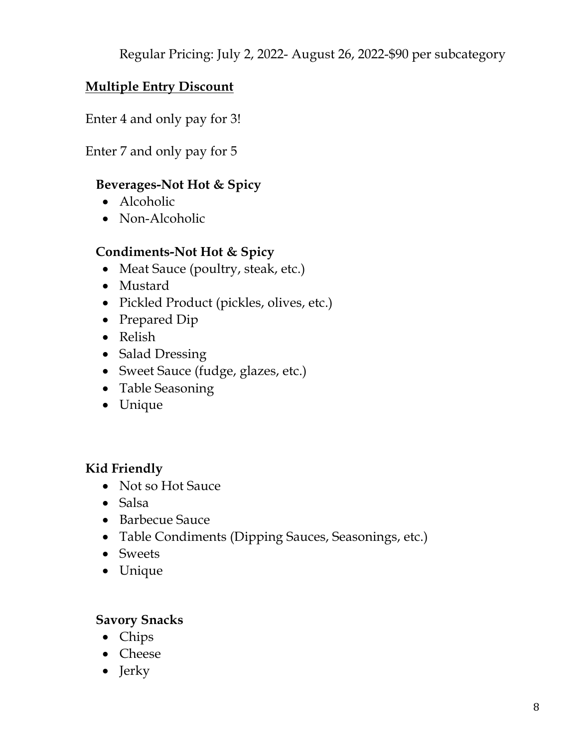Regular Pricing: July 2, 2022- August 26, 2022-\$90 per subcategory

### **Multiple Entry Discount**

Enter 4 and only pay for 3!

Enter 7 and only pay for 5

### **Beverages-Not Hot & Spicy**

- Alcoholic
- Non-Alcoholic

### **Condiments-Not Hot & Spicy**

- Meat Sauce (poultry, steak, etc.)
- Mustard
- Pickled Product (pickles, olives, etc.)
- Prepared Dip
- Relish
- Salad Dressing
- Sweet Sauce (fudge, glazes, etc.)
- Table Seasoning
- Unique

### **Kid Friendly**

- Not so Hot Sauce
- Salsa
- Barbecue Sauce
- Table Condiments (Dipping Sauces, Seasonings, etc.)
- Sweets
- Unique

### **Savory Snacks**

- Chips
- Cheese
- Jerky